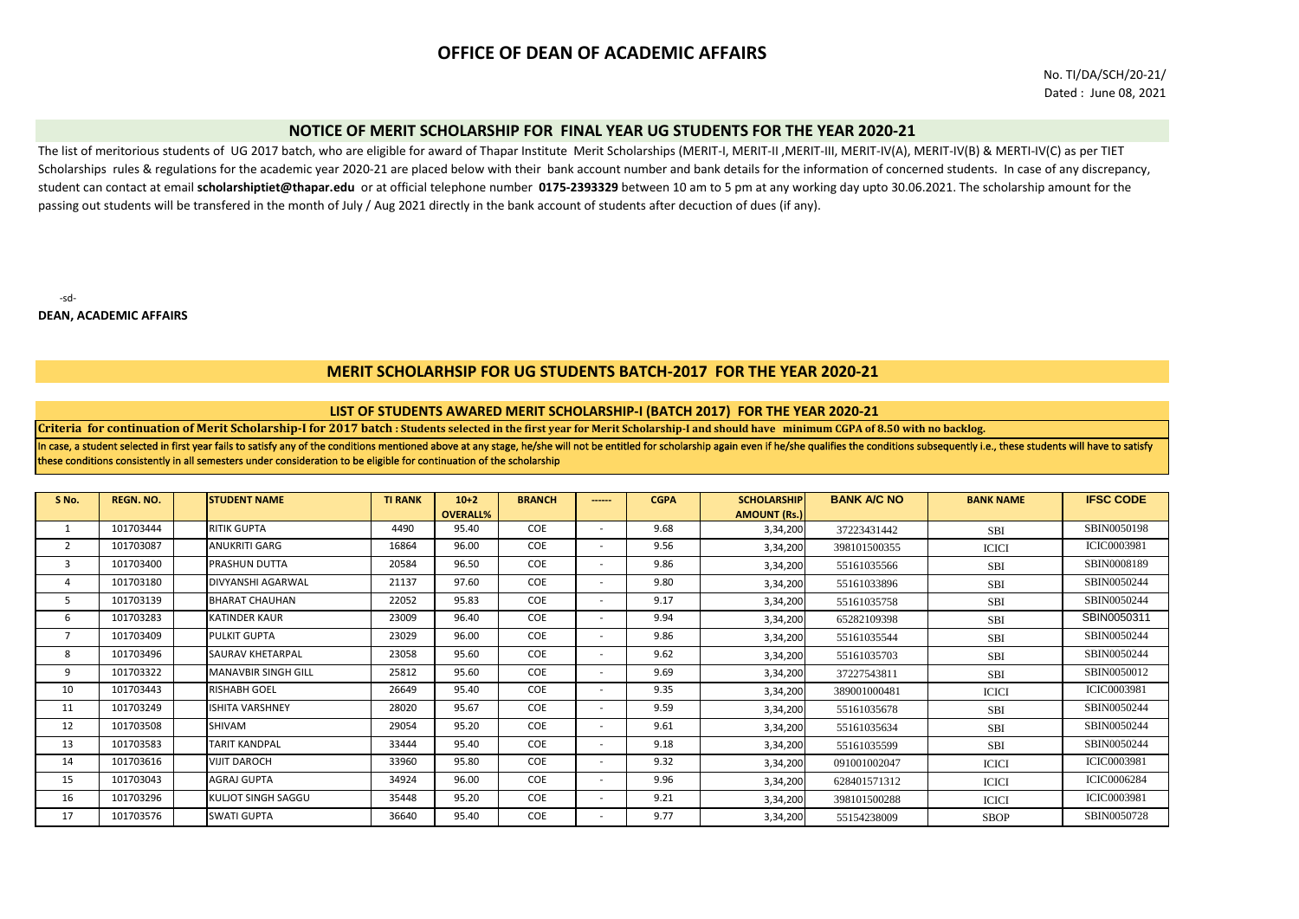# **OFFICE OF DEAN OF ACADEMIC AFFAIRS**

No. TI/DA/SCH/20-21/ Dated : June 08, 2021

# **NOTICE OF MERIT SCHOLARSHIP FOR FINAL YEAR UG STUDENTS FOR THE YEAR 2020-21**

The list of meritorious students of UG 2017 batch, who are eligible for award of Thapar Institute Merit Scholarships (MERIT-I, MERIT-II ,MERIT-III, MERIT-IV(A), MERIT-IV(B) & MERTI-IV(C) as per TIET Scholarships rules & regulations for the academic year 2020-21 are placed below with their bank account number and bank details for the information of concerned students. In case of any discrepancy, student can contact at email **scholarshiptiet@thapar.edu** or at official telephone number **0175-2393329** between 10 am to 5 pm at any working day upto 30.06.2021. The scholarship amount for the passing out students will be transfered in the month of July / Aug 2021 directly in the bank account of students after decuction of dues (if any).

-sd-

**DEAN, ACADEMIC AFFAIRS**

# **MERIT SCHOLARHSIP FOR UG STUDENTS BATCH-2017 FOR THE YEAR 2020-21**

### **LIST OF STUDENTS AWARED MERIT SCHOLARSHIP-I (BATCH 2017) FOR THE YEAR 2020-21**

**Criteria for continuation of Merit Scholarship-I for 2017 batch : Students selected in the first year for Merit Scholarship-I and should have minimum CGPA of 8.50 with no backlog.**

In case, a student selected in first year fails to satisfy any of the conditions mentioned above at any stage, he/she will not be entitled for scholarship again even if he/she qualifies the conditions subsequently i.e., th these conditions consistently in all semesters under consideration to be eligible for continuation of the scholarship

| S No.          | <b>REGN. NO.</b> | <b>STUDENT NAME</b>        | <b>TI RANK</b> | $10+2$          | <b>BRANCH</b> | ------                   | <b>CGPA</b> | <b>SCHOLARSHIP</b>  | <b>BANK A/C NO</b> | <b>BANK NAME</b> | <b>IFSC CODE</b>   |
|----------------|------------------|----------------------------|----------------|-----------------|---------------|--------------------------|-------------|---------------------|--------------------|------------------|--------------------|
|                |                  |                            |                | <b>OVERALL%</b> |               |                          |             | <b>AMOUNT (Rs.)</b> |                    |                  |                    |
|                | 101703444        | <b>RITIK GUPTA</b>         | 4490           | 95.40           | COE           | ٠                        | 9.68        | 3,34,200            | 37223431442        | <b>SBI</b>       | SBIN0050198        |
| $\overline{2}$ | 101703087        | ANUKRITI GARG              | 16864          | 96.00           | COE           | ٠                        | 9.56        | 3,34,200            | 398101500355       | <b>ICICI</b>     | <b>ICIC0003981</b> |
| 3              | 101703400        | PRASHUN DUTTA              | 20584          | 96.50           | COE           | ۰                        | 9.86        | 3,34,200            | 55161035566        | SBI              | SBIN0008189        |
| 4              | 101703180        | DIVYANSHI AGARWAL          | 21137          | 97.60           | COE           | ۰                        | 9.80        | 3,34,200            | 55161033896        | <b>SBI</b>       | SBIN0050244        |
| 5              | 101703139        | BHARAT CHAUHAN             | 22052          | 95.83           | COE           | ٠                        | 9.17        | 3,34,200            | 55161035758        | <b>SBI</b>       | SBIN0050244        |
| 6              | 101703283        | KATINDER KAUR              | 23009          | 96.40           | COE           | ٠                        | 9.94        | 3,34,200            | 65282109398        | <b>SBI</b>       | SBIN0050311        |
| 7              | 101703409        | PULKIT GUPTA               | 23029          | 96.00           | COE           | ۰                        | 9.86        | 3,34,200            | 55161035544        | <b>SBI</b>       | SBIN0050244        |
| 8              | 101703496        | SAURAV KHETARPAL           | 23058          | 95.60           | <b>COE</b>    | ۰                        | 9.62        | 3,34,200            | 55161035703        | <b>SBI</b>       | SBIN0050244        |
| 9              | 101703322        | <b>MANAVBIR SINGH GILL</b> | 25812          | 95.60           | <b>COE</b>    | ٠                        | 9.69        | 3,34,200            | 37227543811        | <b>SBI</b>       | SBIN0050012        |
| 10             | 101703443        | <b>RISHABH GOEL</b>        | 26649          | 95.40           | COE           | ٠                        | 9.35        | 3,34,200            | 389001000481       | <b>ICICI</b>     | <b>ICIC0003981</b> |
| 11             | 101703249        | <b>ISHITA VARSHNEY</b>     | 28020          | 95.67           | COE           | $\sim$                   | 9.59        | 3,34,200            | 55161035678        | <b>SBI</b>       | SBIN0050244        |
| 12             | 101703508        | SHIVAM                     | 29054          | 95.20           | COE           | $\overline{\phantom{a}}$ | 9.61        | 3,34,200            | 55161035634        | <b>SBI</b>       | SBIN0050244        |
| 13             | 101703583        | <b>TARIT KANDPAL</b>       | 33444          | 95.40           | COE           | ٠                        | 9.18        | 3,34,200            | 55161035599        | <b>SBI</b>       | SBIN0050244        |
| 14             | 101703616        | <b>VIJIT DAROCH</b>        | 33960          | 95.80           | COE           | $\sim$                   | 9.32        | 3,34,200            | 091001002047       | <b>ICICI</b>     | <b>ICIC0003981</b> |
| 15             | 101703043        | <b>AGRAJ GUPTA</b>         | 34924          | 96.00           | COE           | $\sim$                   | 9.96        | 3,34,200            | 628401571312       | <b>ICICI</b>     | <b>ICIC0006284</b> |
| 16             | 101703296        | KULJOT SINGH SAGGU         | 35448          | 95.20           | COE           | ٠                        | 9.21        | 3,34,200            | 398101500288       | <b>ICICI</b>     | <b>ICIC0003981</b> |
| 17             | 101703576        | <b>SWATI GUPTA</b>         | 36640          | 95.40           | COE           | ٠                        | 9.77        | 3,34,200            | 55154238009        | <b>SBOP</b>      | SBIN0050728        |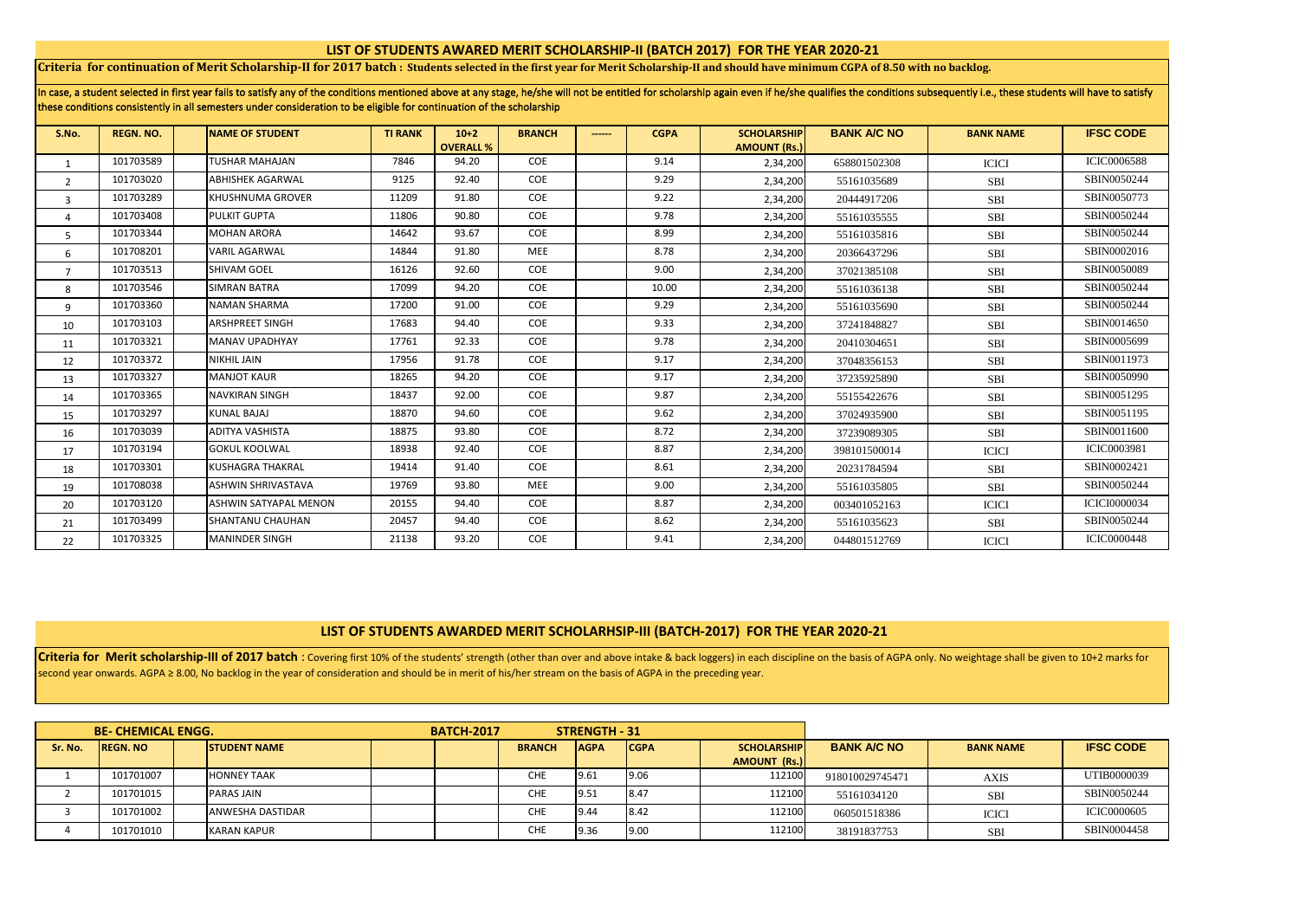# **LIST OF STUDENTS AWARED MERIT SCHOLARSHIP-II (BATCH 2017) FOR THE YEAR 2020-21**

**Criteria for continuation of Merit Scholarship-II for 2017 batch : Students selected in the first year for Merit Scholarship-II and should have minimum CGPA of 8.50 with no backlog.**

| In case, a student selected in first year fails to satisfy any of the conditions mentioned above at any stage, he/she will not be entitled for scholarship again even if he/she qualifies the conditions subsequently i.e., th |  |
|--------------------------------------------------------------------------------------------------------------------------------------------------------------------------------------------------------------------------------|--|
| these conditions consistently in all semesters under consideration to be eligible for continuation of the scholarship                                                                                                          |  |

| S.No.          | <b>REGN. NO.</b> | <b>INAME OF STUDENT</b>      | <b>TI RANK</b> | $10+2$           | <b>BRANCH</b> | ------ | <b>CGPA</b> | <b>SCHOLARSHIP</b>  | <b>BANK A/C NO</b> | <b>BANK NAME</b> | <b>IFSC CODE</b>    |
|----------------|------------------|------------------------------|----------------|------------------|---------------|--------|-------------|---------------------|--------------------|------------------|---------------------|
|                |                  |                              |                | <b>OVERALL %</b> |               |        |             | <b>AMOUNT (Rs.)</b> |                    |                  |                     |
| 1              | 101703589        | <b>TUSHAR MAHAJAN</b>        | 7846           | 94.20            | COE           |        | 9.14        | 2,34,200            | 658801502308       | <b>ICICI</b>     | <b>ICIC0006588</b>  |
| $\overline{2}$ | 101703020        | <b>ABHISHEK AGARWAL</b>      | 9125           | 92.40            | COE           |        | 9.29        | 2,34,200            | 55161035689        | <b>SBI</b>       | SBIN0050244         |
| 3              | 101703289        | <b>KHUSHNUMA GROVER</b>      | 11209          | 91.80            | COE           |        | 9.22        | 2,34,200            | 20444917206        | <b>SBI</b>       | SBIN0050773         |
| 4              | 101703408        | <b>PULKIT GUPTA</b>          | 11806          | 90.80            | COE           |        | 9.78        | 2,34,200            | 55161035555        | SBI              | SBIN0050244         |
| 5              | 101703344        | <b>MOHAN ARORA</b>           | 14642          | 93.67            | COE           |        | 8.99        | 2,34,200            | 55161035816        | <b>SBI</b>       | SBIN0050244         |
| 6              | 101708201        | <b>VARIL AGARWAL</b>         | 14844          | 91.80            | MEE           |        | 8.78        | 2,34,200            | 20366437296        | <b>SBI</b>       | SBIN0002016         |
| $\overline{7}$ | 101703513        | <b>SHIVAM GOEL</b>           | 16126          | 92.60            | COE           |        | 9.00        | 2,34,200            | 37021385108        | <b>SBI</b>       | SBIN0050089         |
| 8              | 101703546        | <b>SIMRAN BATRA</b>          | 17099          | 94.20            | COE           |        | 10.00       | 2,34,200            | 55161036138        | <b>SBI</b>       | SBIN0050244         |
| 9              | 101703360        | <b>NAMAN SHARMA</b>          | 17200          | 91.00            | COE           |        | 9.29        | 2,34,200            | 55161035690        | <b>SBI</b>       | SBIN0050244         |
| 10             | 101703103        | <b>ARSHPREET SINGH</b>       | 17683          | 94.40            | COE           |        | 9.33        | 2,34,200            | 37241848827        | <b>SBI</b>       | SBIN0014650         |
| 11             | 101703321        | <b>MANAV UPADHYAY</b>        | 17761          | 92.33            | COE           |        | 9.78        | 2,34,200            | 20410304651        | <b>SBI</b>       | SBIN0005699         |
| 12             | 101703372        | <b>NIKHIL JAIN</b>           | 17956          | 91.78            | COE           |        | 9.17        | 2,34,200            | 37048356153        | <b>SBI</b>       | SBIN0011973         |
| 13             | 101703327        | <b>MANJOT KAUR</b>           | 18265          | 94.20            | COE           |        | 9.17        | 2,34,200            | 37235925890        | SBI              | SBIN0050990         |
| 14             | 101703365        | <b>NAVKIRAN SINGH</b>        | 18437          | 92.00            | COE           |        | 9.87        | 2,34,200            | 55155422676        | <b>SBI</b>       | SBIN0051295         |
| 15             | 101703297        | <b>KUNAL BAJAJ</b>           | 18870          | 94.60            | COE           |        | 9.62        | 2,34,200            | 37024935900        | SBI              | SBIN0051195         |
| 16             | 101703039        | <b>ADITYA VASHISTA</b>       | 18875          | 93.80            | COE           |        | 8.72        | 2,34,200            | 37239089305        | <b>SBI</b>       | SBIN0011600         |
| 17             | 101703194        | <b>GOKUL KOOLWAL</b>         | 18938          | 92.40            | COE           |        | 8.87        | 2,34,200            | 398101500014       | <b>ICICI</b>     | <b>ICIC0003981</b>  |
| 18             | 101703301        | <b>KUSHAGRA THAKRAL</b>      | 19414          | 91.40            | COE           |        | 8.61        | 2,34,200            | 20231784594        | SBI              | SBIN0002421         |
| 19             | 101708038        | <b>ASHWIN SHRIVASTAVA</b>    | 19769          | 93.80            | <b>MEE</b>    |        | 9.00        | 2,34,200            | 55161035805        | <b>SBI</b>       | SBIN0050244         |
| 20             | 101703120        | <b>ASHWIN SATYAPAL MENON</b> | 20155          | 94.40            | COE           |        | 8.87        | 2,34,200            | 003401052163       | <b>ICICI</b>     | <b>ICICI0000034</b> |
| 21             | 101703499        | <b>SHANTANU CHAUHAN</b>      | 20457          | 94.40            | COE           |        | 8.62        | 2,34,200            | 55161035623        | <b>SBI</b>       | SBIN0050244         |
| 22             | 101703325        | <b>MANINDER SINGH</b>        | 21138          | 93.20            | COE           |        | 9.41        | 2,34,200            | 044801512769       | <b>ICICI</b>     | <b>ICIC0000448</b>  |

# **LIST OF STUDENTS AWARDED MERIT SCHOLARHSIP-III (BATCH-2017) FOR THE YEAR 2020-21**

Criteria for Merit scholarship-III of 2017 batch: Covering first 10% of the students' strength (other than over and above intake & back loggers) in each discipline on the basis of AGPA only. No weightage shall be given to second year onwards. AGPA ≥ 8.00, No backlog in the year of consideration and should be in merit of his/her stream on the basis of AGPA in the preceding year.

|         | <b>BE- CHEMICAL ENGG.</b> |                         | <b>BATCH-2017</b> |               | <b>STRENGTH - 31</b> |             |                     |                    |                  |                    |
|---------|---------------------------|-------------------------|-------------------|---------------|----------------------|-------------|---------------------|--------------------|------------------|--------------------|
| Sr. No. | <b>REGN. NO</b>           | <b>STUDENT NAME</b>     |                   | <b>BRANCH</b> | <b>AGPA</b>          | <b>CGPA</b> | <b>SCHOLARSHIP</b>  | <b>BANK A/C NO</b> | <b>BANK NAME</b> | <b>IFSC CODE</b>   |
|         |                           |                         |                   |               |                      |             | <b>AMOUNT (Rs.)</b> |                    |                  |                    |
|         | 101701007                 | <b>HONNEY TAAK</b>      |                   | <b>CHE</b>    | 9.61                 | 9.06        | 112100              | 918010029745471    | <b>AXIS</b>      | UTIB0000039        |
|         | 101701015                 | PARAS JAIN              |                   | <b>CHE</b>    | 19.51                | 8.47        | 112100              | 55161034120        | <b>SBI</b>       | SBIN0050244        |
|         | 101701002                 | <b>ANWESHA DASTIDAR</b> |                   | <b>CHE</b>    | 9.44                 | 8.42        | 112100              | 060501518386       | <b>ICICI</b>     | <b>ICIC0000605</b> |
|         | 101701010                 | KARAN KAPUR             |                   | <b>CHE</b>    | 9.36                 | 9.00        | 112100              | 38191837753        | <b>SBI</b>       | SBIN0004458        |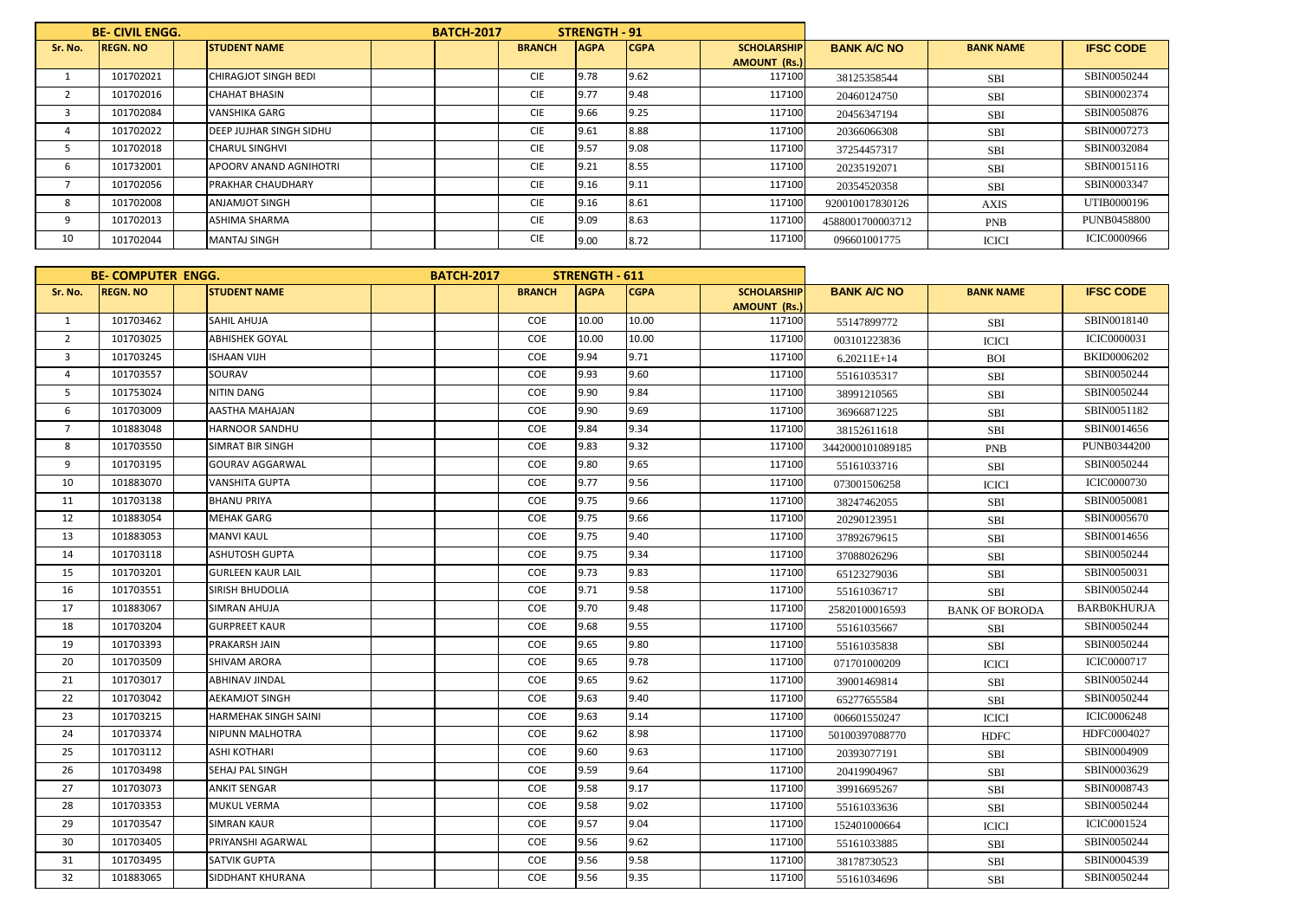|         | <b>BE-CIVIL ENGG.</b> |                                | <b>BATCH-2017</b> |               | STRENGTH - 91 |             |                     |                    |                  |                    |
|---------|-----------------------|--------------------------------|-------------------|---------------|---------------|-------------|---------------------|--------------------|------------------|--------------------|
| Sr. No. | <b>REGN. NO</b>       | <b>STUDENT NAME</b>            |                   | <b>BRANCH</b> | <b>AGPA</b>   | <b>CGPA</b> | <b>SCHOLARSHIP</b>  | <b>BANK A/C NO</b> | <b>BANK NAME</b> | <b>IFSC CODE</b>   |
|         |                       |                                |                   |               |               |             | <b>AMOUNT (Rs.)</b> |                    |                  |                    |
|         | 101702021             | CHIRAGJOT SINGH BEDI           |                   | <b>CIE</b>    | 9.78          | 9.62        | 117100              | 38125358544        | <b>SBI</b>       | SBIN0050244        |
|         | 101702016             | <b>CHAHAT BHASIN</b>           |                   | <b>CIE</b>    | 9.77          | 9.48        | 117100              | 20460124750        | <b>SBI</b>       | SBIN0002374        |
|         | 101702084             | <b>VANSHIKA GARG</b>           |                   | <b>CIE</b>    | 9.66          | 9.25        | 117100              | 20456347194        | <b>SBI</b>       | SBIN0050876        |
| 4       | 101702022             | <b>DEEP JUJHAR SINGH SIDHU</b> |                   | <b>CIE</b>    | 9.61          | 8.88        | 117100              | 20366066308        | <b>SBI</b>       | SBIN0007273        |
|         | 101702018             | <b>CHARUL SINGHVI</b>          |                   | <b>CIE</b>    | 9.57          | 9.08        | 117100              | 37254457317        | <b>SBI</b>       | SBIN0032084        |
| b       | 101732001             | APOORV ANAND AGNIHOTRI         |                   | <b>CIE</b>    | 9.21          | 8.55        | 117100              | 20235192071        | <b>SBI</b>       | SBIN0015116        |
|         | 101702056             | PRAKHAR CHAUDHARY              |                   | <b>CIE</b>    | 9.16          | 9.11        | 117100              | 20354520358        | <b>SBI</b>       | SBIN0003347        |
| 8       | 101702008             | <b>ANJAMJOT SINGH</b>          |                   | <b>CIE</b>    | 9.16          | 8.61        | 117100              | 920010017830126    | <b>AXIS</b>      | UTIB0000196        |
| 9       | 101702013             | <b>ASHIMA SHARMA</b>           |                   | <b>CIE</b>    | 9.09          | 8.63        | 117100              | 4588001700003712   | <b>PNB</b>       | <b>PUNB0458800</b> |
| 10      | 101702044             | <b>MANTAJ SINGH</b>            |                   | <b>CIE</b>    | 9.00          | 8.72        | 117100              | 096601001775       | <b>ICICI</b>     | <b>ICIC0000966</b> |

|                | <b>BE-COMPUTER ENGG.</b> |                          | <b>BATCH-2017</b> |               | <b>STRENGTH - 611</b> |             |                     |                    |                       |                    |
|----------------|--------------------------|--------------------------|-------------------|---------------|-----------------------|-------------|---------------------|--------------------|-----------------------|--------------------|
| Sr. No.        | <b>REGN. NO</b>          | <b>STUDENT NAME</b>      |                   | <b>BRANCH</b> | <b>AGPA</b>           | <b>CGPA</b> | <b>SCHOLARSHIP</b>  | <b>BANK A/C NO</b> | <b>BANK NAME</b>      | <b>IFSC CODE</b>   |
|                |                          |                          |                   |               |                       |             | <b>AMOUNT (Rs.)</b> |                    |                       |                    |
| 1              | 101703462                | <b>SAHIL AHUJA</b>       |                   | COE           | 10.00                 | 10.00       | 117100              | 55147899772        | SBI                   | SBIN0018140        |
| $\overline{2}$ | 101703025                | <b>ABHISHEK GOYAL</b>    |                   | COE           | 10.00                 | 10.00       | 117100              | 003101223836       | <b>ICICI</b>          | <b>ICIC0000031</b> |
| $\overline{3}$ | 101703245                | <b>ISHAAN VIJH</b>       |                   | COE           | 9.94                  | 9.71        | 117100              | $6.20211E+14$      | <b>BOI</b>            | <b>BKID0006202</b> |
| $\overline{4}$ | 101703557                | SOURAV                   |                   | COE           | 9.93                  | 9.60        | 117100              | 55161035317        | <b>SBI</b>            | SBIN0050244        |
| 5              | 101753024                | <b>NITIN DANG</b>        |                   | COE           | 9.90                  | 9.84        | 117100              | 38991210565        | <b>SBI</b>            | SBIN0050244        |
| 6              | 101703009                | AASTHA MAHAJAN           |                   | COE           | 9.90                  | 9.69        | 117100              | 36966871225        | SBI                   | SBIN0051182        |
| $\overline{7}$ | 101883048                | HARNOOR SANDHU           |                   | COE           | 9.84                  | 9.34        | 117100              | 38152611618        | SBI                   | SBIN0014656        |
| 8              | 101703550                | SIMRAT BIR SINGH         |                   | COE           | 9.83                  | 9.32        | 117100              | 3442000101089185   | <b>PNB</b>            | <b>PUNB0344200</b> |
| 9              | 101703195                | <b>GOURAV AGGARWAL</b>   |                   | <b>COE</b>    | 9.80                  | 9.65        | 117100              | 55161033716        | SBI                   | SBIN0050244        |
| 10             | 101883070                | <b>VANSHITA GUPTA</b>    |                   | COE           | 9.77                  | 9.56        | 117100              | 073001506258       | <b>ICICI</b>          | <b>ICIC0000730</b> |
| 11             | 101703138                | <b>BHANU PRIYA</b>       |                   | COE           | 9.75                  | 9.66        | 117100              | 38247462055        | SBI                   | SBIN0050081        |
| 12             | 101883054                | <b>MEHAK GARG</b>        |                   | COE           | 9.75                  | 9.66        | 117100              | 20290123951        | SBI                   | SBIN0005670        |
| 13             | 101883053                | <b>MANVI KAUL</b>        |                   | COE           | 9.75                  | 9.40        | 117100              | 37892679615        | SBI                   | SBIN0014656        |
| 14             | 101703118                | <b>ASHUTOSH GUPTA</b>    |                   | COE           | 9.75                  | 9.34        | 117100              | 37088026296        | <b>SBI</b>            | SBIN0050244        |
| 15             | 101703201                | <b>GURLEEN KAUR LAIL</b> |                   | COE           | 9.73                  | 9.83        | 117100              | 65123279036        | <b>SBI</b>            | SBIN0050031        |
| 16             | 101703551                | <b>SIRISH BHUDOLIA</b>   |                   | COE           | 9.71                  | 9.58        | 117100              | 55161036717        | <b>SBI</b>            | SBIN0050244        |
| 17             | 101883067                | SIMRAN AHUJA             |                   | COE           | 9.70                  | 9.48        | 117100              | 25820100016593     | <b>BANK OF BORODA</b> | <b>BARBOKHURJA</b> |
| 18             | 101703204                | <b>GURPREET KAUR</b>     |                   | COE           | 9.68                  | 9.55        | 117100              | 55161035667        | SBI                   | SBIN0050244        |
| 19             | 101703393                | PRAKARSH JAIN            |                   | COE           | 9.65                  | 9.80        | 117100              | 55161035838        | <b>SBI</b>            | SBIN0050244        |
| 20             | 101703509                | <b>SHIVAM ARORA</b>      |                   | COE           | 9.65                  | 9.78        | 117100              | 071701000209       | <b>ICICI</b>          | <b>ICIC0000717</b> |
| 21             | 101703017                | <b>ABHINAV JINDAL</b>    |                   | <b>COE</b>    | 9.65                  | 9.62        | 117100              | 39001469814        | <b>SBI</b>            | SBIN0050244        |
| 22             | 101703042                | <b>AEKAMJOT SINGH</b>    |                   | COE           | 9.63                  | 9.40        | 117100              | 65277655584        | <b>SBI</b>            | SBIN0050244        |
| 23             | 101703215                | HARMEHAK SINGH SAINI     |                   | COE           | 9.63                  | 9.14        | 117100              | 006601550247       | <b>ICICI</b>          | <b>ICIC0006248</b> |
| 24             | 101703374                | <b>NIPUNN MALHOTRA</b>   |                   | COE           | 9.62                  | 8.98        | 117100              | 50100397088770     | <b>HDFC</b>           | HDFC0004027        |
| 25             | 101703112                | <b>ASHI KOTHARI</b>      |                   | COE           | 9.60                  | 9.63        | 117100              | 20393077191        | SBI                   | SBIN0004909        |
| 26             | 101703498                | SEHAJ PAL SINGH          |                   | COE           | 9.59                  | 9.64        | 117100              | 20419904967        | <b>SBI</b>            | SBIN0003629        |
| 27             | 101703073                | <b>ANKIT SENGAR</b>      |                   | COE           | 9.58                  | 9.17        | 117100              | 39916695267        | <b>SBI</b>            | SBIN0008743        |
| 28             | 101703353                | <b>MUKUL VERMA</b>       |                   | COE           | 9.58                  | 9.02        | 117100              | 55161033636        | <b>SBI</b>            | SBIN0050244        |
| 29             | 101703547                | <b>SIMRAN KAUR</b>       |                   | COE           | 9.57                  | 9.04        | 117100              | 152401000664       | <b>ICICI</b>          | <b>ICIC0001524</b> |
| 30             | 101703405                | PRIYANSHI AGARWAL        |                   | COE           | 9.56                  | 9.62        | 117100              | 55161033885        | SBI                   | SBIN0050244        |
| 31             | 101703495                | SATVIK GUPTA             |                   | COE           | 9.56                  | 9.58        | 117100              | 38178730523        | <b>SBI</b>            | SBIN0004539        |
| 32             | 101883065                | SIDDHANT KHURANA         |                   | COE           | 9.56                  | 9.35        | 117100              | 55161034696        | SBI                   | SBIN0050244        |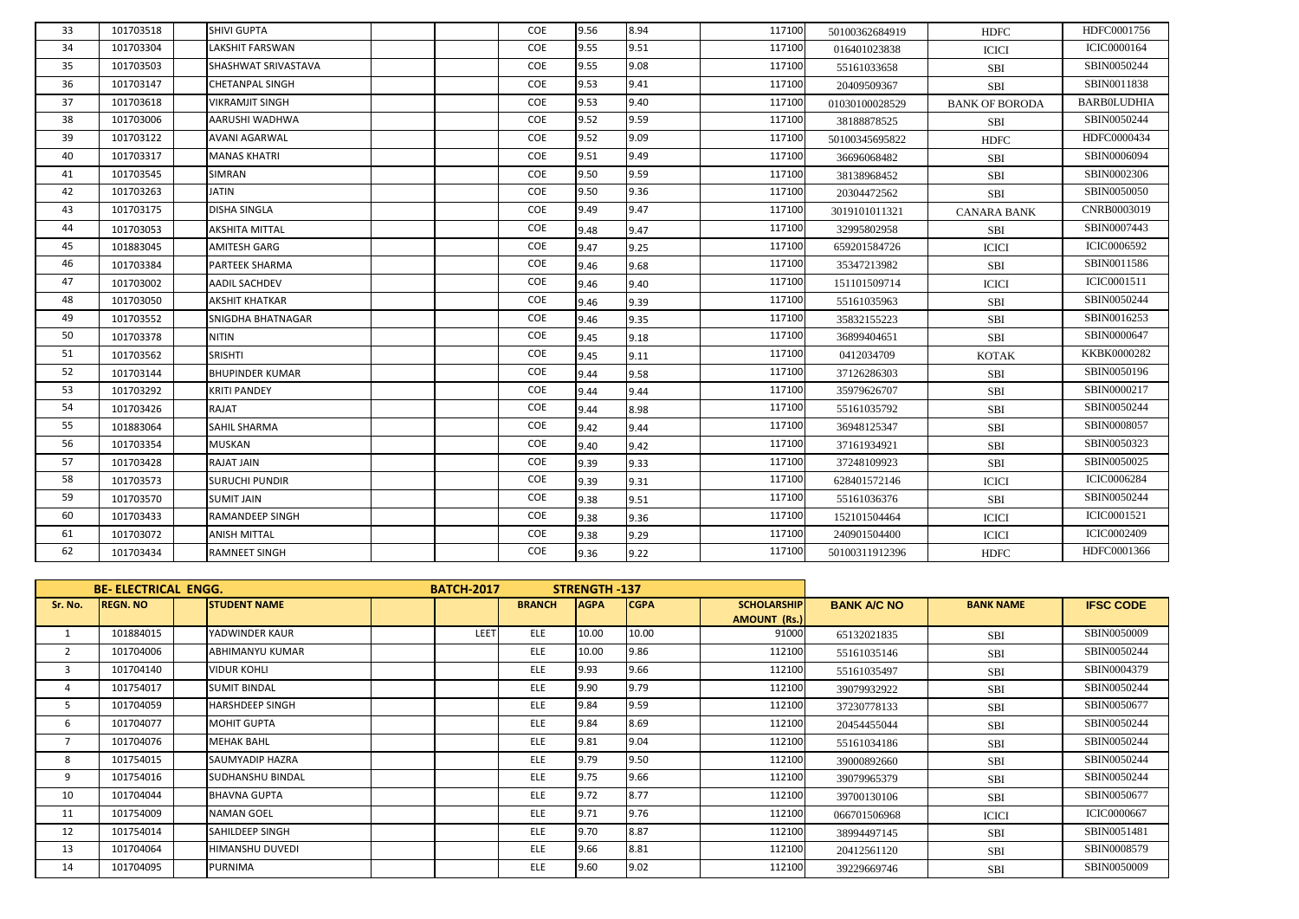| 33 | 101703518 | SHIVI GUPTA            |  | COE | 9.56 | 8.94 | 117100 | 50100362684919 | <b>HDFC</b>           | HDFC0001756        |
|----|-----------|------------------------|--|-----|------|------|--------|----------------|-----------------------|--------------------|
| 34 | 101703304 | <b>LAKSHIT FARSWAN</b> |  | COE | 9.55 | 9.51 | 117100 | 016401023838   | <b>ICICI</b>          | <b>ICIC0000164</b> |
| 35 | 101703503 | SHASHWAT SRIVASTAVA    |  | COE | 9.55 | 9.08 | 117100 | 55161033658    | SBI                   | SBIN0050244        |
| 36 | 101703147 | <b>CHETANPAL SINGH</b> |  | COE | 9.53 | 9.41 | 117100 | 20409509367    | <b>SBI</b>            | SBIN0011838        |
| 37 | 101703618 | <b>VIKRAMJIT SINGH</b> |  | COE | 9.53 | 9.40 | 117100 | 01030100028529 | <b>BANK OF BORODA</b> | <b>BARBOLUDHIA</b> |
| 38 | 101703006 | AARUSHI WADHWA         |  | COE | 9.52 | 9.59 | 117100 | 38188878525    | SBI                   | SBIN0050244        |
| 39 | 101703122 | <b>AVANI AGARWAL</b>   |  | COE | 9.52 | 9.09 | 117100 | 50100345695822 | <b>HDFC</b>           | HDFC0000434        |
| 40 | 101703317 | <b>MANAS KHATRI</b>    |  | COE | 9.51 | 9.49 | 117100 | 36696068482    | <b>SBI</b>            | SBIN0006094        |
| 41 | 101703545 | <b>SIMRAN</b>          |  | COE | 9.50 | 9.59 | 117100 | 38138968452    | SBI                   | SBIN0002306        |
| 42 | 101703263 | <b>JATIN</b>           |  | COE | 9.50 | 9.36 | 117100 | 20304472562    | <b>SBI</b>            | SBIN0050050        |
| 43 | 101703175 | <b>DISHA SINGLA</b>    |  | COE | 9.49 | 9.47 | 117100 | 3019101011321  | <b>CANARA BANK</b>    | CNRB0003019        |
| 44 | 101703053 | <b>AKSHITA MITTAL</b>  |  | COE | 9.48 | 9.47 | 117100 | 32995802958    | SBI                   | SBIN0007443        |
| 45 | 101883045 | AMITESH GARG           |  | COE | 9.47 | 9.25 | 117100 | 659201584726   | <b>ICICI</b>          | ICIC0006592        |
| 46 | 101703384 | PARTEEK SHARMA         |  | COE | 9.46 | 9.68 | 117100 | 35347213982    | SBI                   | SBIN0011586        |
| 47 | 101703002 | <b>AADIL SACHDEV</b>   |  | COE | 9.46 | 9.40 | 117100 | 151101509714   | <b>ICICI</b>          | ICIC0001511        |
| 48 | 101703050 | <b>AKSHIT KHATKAR</b>  |  | COE | 9.46 | 9.39 | 117100 | 55161035963    | SBI                   | SBIN0050244        |
| 49 | 101703552 | SNIGDHA BHATNAGAR      |  | COE | 9.46 | 9.35 | 117100 | 35832155223    | SBI                   | SBIN0016253        |
| 50 | 101703378 | <b>NITIN</b>           |  | COE | 9.45 | 9.18 | 117100 | 36899404651    | SBI                   | SBIN0000647        |
| 51 | 101703562 | SRISHTI                |  | COE | 9.45 | 9.11 | 117100 | 0412034709     | <b>KOTAK</b>          | KKBK0000282        |
| 52 | 101703144 | <b>BHUPINDER KUMAR</b> |  | COE | 9.44 | 9.58 | 117100 | 37126286303    | <b>SBI</b>            | SBIN0050196        |
| 53 | 101703292 | <b>KRITI PANDEY</b>    |  | COE | 9.44 | 9.44 | 117100 | 35979626707    | <b>SBI</b>            | SBIN0000217        |
| 54 | 101703426 | RAJAT                  |  | COE | 9.44 | 8.98 | 117100 | 55161035792    | <b>SBI</b>            | SBIN0050244        |
| 55 | 101883064 | <b>SAHIL SHARMA</b>    |  | COE | 9.42 | 9.44 | 117100 | 36948125347    | <b>SBI</b>            | SBIN0008057        |
| 56 | 101703354 | <b>MUSKAN</b>          |  | COE | 9.40 | 9.42 | 117100 | 37161934921    | SBI                   | SBIN0050323        |
| 57 | 101703428 | <b>RAJAT JAIN</b>      |  | COE | 9.39 | 9.33 | 117100 | 37248109923    | <b>SBI</b>            | SBIN0050025        |
| 58 | 101703573 | <b>SURUCHI PUNDIR</b>  |  | COE | 9.39 | 9.31 | 117100 | 628401572146   | <b>ICICI</b>          | <b>ICIC0006284</b> |
| 59 | 101703570 | <b>SUMIT JAIN</b>      |  | COE | 9.38 | 9.51 | 117100 | 55161036376    | SBI                   | SBIN0050244        |
| 60 | 101703433 | <b>RAMANDEEP SINGH</b> |  | COE | 9.38 | 9.36 | 117100 | 152101504464   | <b>ICICI</b>          | ICIC0001521        |
| 61 | 101703072 | <b>ANISH MITTAL</b>    |  | COE | 9.38 | 9.29 | 117100 | 240901504400   | <b>ICICI</b>          | ICIC0002409        |
| 62 | 101703434 | <b>RAMNEET SINGH</b>   |  | COE | 9.36 | 9.22 | 117100 | 50100311912396 | <b>HDFC</b>           | HDFC0001366        |

|                | <b>BE-ELECTRICAL ENGG.</b><br><b>REGN. NO</b><br><b>STUDENT NAME</b> |  |                         | <b>BATCH-2017</b> | <b>STRENGTH-137</b> |             |             |                     |                    |                  |                    |
|----------------|----------------------------------------------------------------------|--|-------------------------|-------------------|---------------------|-------------|-------------|---------------------|--------------------|------------------|--------------------|
| Sr. No.        |                                                                      |  |                         |                   | <b>BRANCH</b>       | <b>AGPA</b> | <b>CGPA</b> | <b>SCHOLARSHIP</b>  | <b>BANK A/C NO</b> | <b>BANK NAME</b> | <b>IFSC CODE</b>   |
|                |                                                                      |  |                         |                   |                     |             |             | <b>AMOUNT (Rs.)</b> |                    |                  |                    |
|                | 101884015                                                            |  | YADWINDER KAUR          | LEET              | ELE                 | 10.00       | 10.00       | 91000               | 65132021835        | <b>SBI</b>       | SBIN0050009        |
| $\overline{2}$ | 101704006                                                            |  | ABHIMANYU KUMAR         |                   | ELE                 | 10.00       | 9.86        | 112100              | 55161035146        | <b>SBI</b>       | SBIN0050244        |
| $\overline{3}$ | 101704140                                                            |  | <b>VIDUR KOHLI</b>      |                   | ELE                 | 9.93        | 9.66        | 112100              | 55161035497        | <b>SBI</b>       | SBIN0004379        |
| 4              | 101754017                                                            |  | <b>SUMIT BINDAL</b>     |                   | ELE                 | 9.90        | 9.79        | 112100              | 39079932922        | <b>SBI</b>       | SBIN0050244        |
| 5              | 101704059                                                            |  | <b>HARSHDEEP SINGH</b>  |                   | ELE                 | 9.84        | 9.59        | 112100              | 37230778133        | <b>SBI</b>       | SBIN0050677        |
| 6              | 101704077                                                            |  | <b>MOHIT GUPTA</b>      |                   | ELE                 | 9.84        | 8.69        | 112100              | 20454455044        | <b>SBI</b>       | SBIN0050244        |
|                | 101704076                                                            |  | <b>MEHAK BAHL</b>       |                   | ELE                 | 9.81        | 9.04        | 112100              | 55161034186        | <b>SBI</b>       | SBIN0050244        |
| 8              | 101754015                                                            |  | SAUMYADIP HAZRA         |                   | ELE                 | 9.79        | 9.50        | 112100              | 39000892660        | <b>SBI</b>       | SBIN0050244        |
| 9              | 101754016                                                            |  | <b>SUDHANSHU BINDAL</b> |                   | ELE                 | 9.75        | 9.66        | 112100              | 39079965379        | <b>SBI</b>       | SBIN0050244        |
| 10             | 101704044                                                            |  | <b>BHAVNA GUPTA</b>     |                   | ELE                 | 9.72        | 8.77        | 112100              | 39700130106        | <b>SBI</b>       | SBIN0050677        |
| 11             | 101754009                                                            |  | NAMAN GOEL              |                   | ELE                 | 9.71        | 9.76        | 112100              | 066701506968       | <b>ICICI</b>     | <b>ICIC0000667</b> |
| 12             | 101754014                                                            |  | SAHILDEEP SINGH         |                   | ELE                 | 9.70        | 8.87        | 112100              | 38994497145        | <b>SBI</b>       | SBIN0051481        |
| 13             | 101704064                                                            |  | <b>HIMANSHU DUVEDI</b>  |                   | ELE                 | 9.66        | 8.81        | 112100              | 20412561120        | <b>SBI</b>       | SBIN0008579        |
| 14             | 101704095                                                            |  | <b>PURNIMA</b>          |                   | ELE                 | 9.60        | 9.02        | 112100              | 39229669746        | <b>SBI</b>       | SBIN0050009        |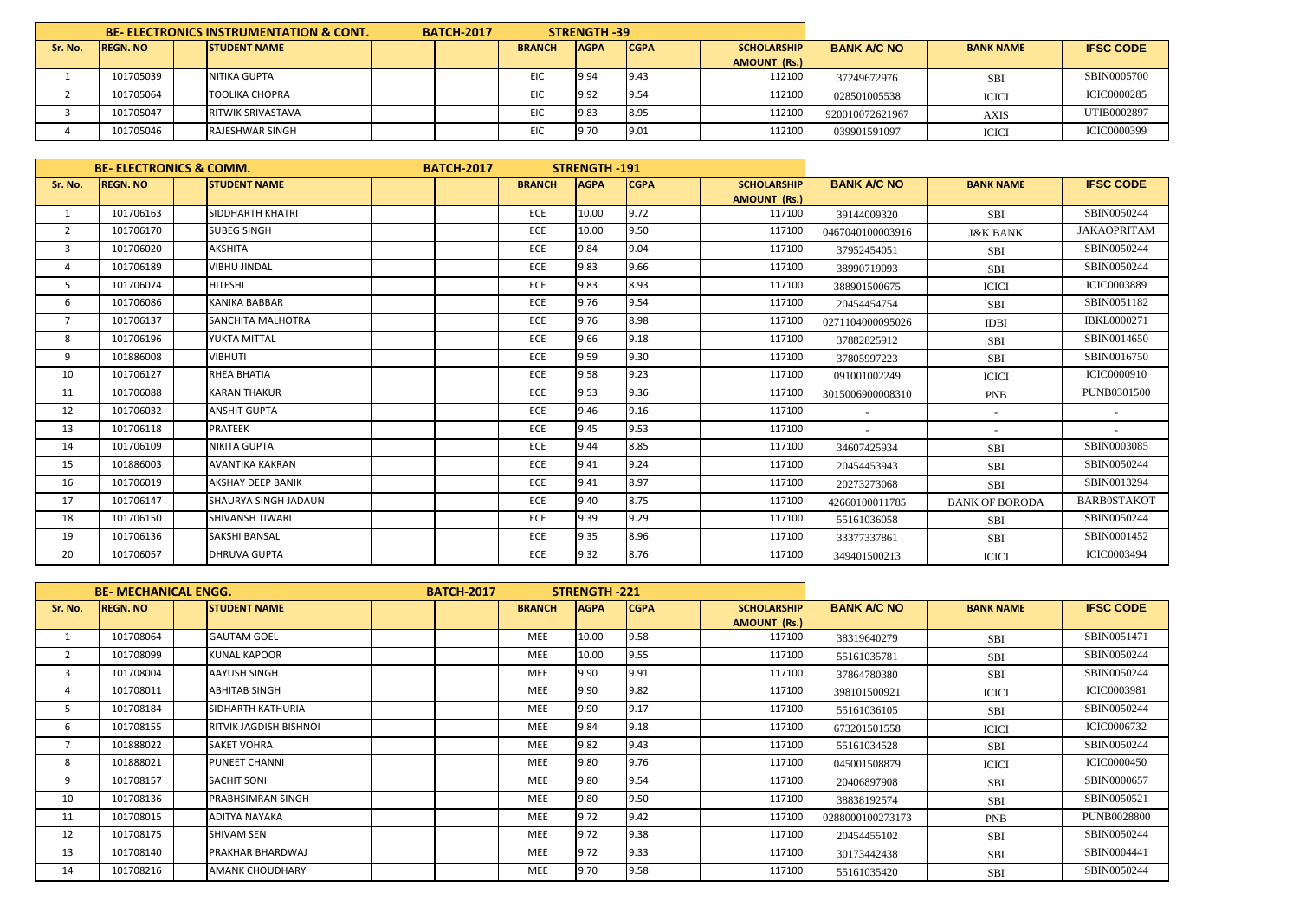|         | <b>BE-ELECTRONICS INSTRUMENTATION &amp; CONT.</b> |  |                          | <b>BATCH-2017</b> |               | <b>STRENGTH -39</b> |             |                     |                    |                  |                    |
|---------|---------------------------------------------------|--|--------------------------|-------------------|---------------|---------------------|-------------|---------------------|--------------------|------------------|--------------------|
| Sr. No. | <b>REGN. NO</b>                                   |  | <b>STUDENT NAME</b>      |                   | <b>BRANCH</b> | <b>AGPA</b>         | <b>CGPA</b> | <b>SCHOLARSHIPI</b> | <b>BANK A/C NO</b> | <b>BANK NAME</b> | <b>IFSC CODE</b>   |
|         |                                                   |  |                          |                   |               |                     |             | AMOUNT (Rs.)        |                    |                  |                    |
|         | 101705039                                         |  | NITIKA GUPTA             |                   | EIC           | 9.94                | 19.43       | 112100              | 37249672976        | <b>SBI</b>       | SBIN0005700        |
|         | 101705064                                         |  | <b>TOOLIKA CHOPRA</b>    |                   | EIC           | 9.92                | 9.54        | 112100              | 028501005538       | <b>ICICI</b>     | <b>ICIC0000285</b> |
|         | 101705047                                         |  | <b>RITWIK SRIVASTAVA</b> |                   | EIC           | 9.83                | 8.95        | 112100              | 920010072621967    | AXIS             | UTIB0002897        |
|         | 101705046                                         |  | RAJESHWAR SINGH          |                   | EIC           | 9.70                | 9.01        | 112100              | 039901591097       | <b>ICICI</b>     | <b>ICIC0000399</b> |

|                | <b>BE- ELECTRONICS &amp; COMM.</b> |                             | <b>BATCH-2017</b><br><b>STRENGTH-191</b> |  |               |             |             |                     |                    |                       |                    |
|----------------|------------------------------------|-----------------------------|------------------------------------------|--|---------------|-------------|-------------|---------------------|--------------------|-----------------------|--------------------|
| Sr. No.        | <b>REGN. NO</b>                    | <b>STUDENT NAME</b>         |                                          |  | <b>BRANCH</b> | <b>AGPA</b> | <b>CGPA</b> | <b>SCHOLARSHIP</b>  | <b>BANK A/C NO</b> | <b>BANK NAME</b>      | <b>IFSC CODE</b>   |
|                |                                    |                             |                                          |  |               |             |             | <b>AMOUNT (Rs.)</b> |                    |                       |                    |
| 1              | 101706163                          | <b>SIDDHARTH KHATRI</b>     |                                          |  | <b>ECE</b>    | 10.00       | 9.72        | 117100              | 39144009320        | <b>SBI</b>            | SBIN0050244        |
| $\overline{2}$ | 101706170                          | <b>SUBEG SINGH</b>          |                                          |  | ECE           | 10.00       | 9.50        | 117100              | 0467040100003916   | <b>J&amp;K BANK</b>   | <b>JAKAOPRITAM</b> |
| 3              | 101706020                          | AKSHITA                     |                                          |  | ECE           | 9.84        | 9.04        | 117100              | 37952454051        | <b>SBI</b>            | SBIN0050244        |
| 4              | 101706189                          | <b>VIBHU JINDAL</b>         |                                          |  | ECE           | 9.83        | 9.66        | 117100              | 38990719093        | <b>SBI</b>            | SBIN0050244        |
| 5              | 101706074                          | <b>HITESHI</b>              |                                          |  | ECE           | 9.83        | 8.93        | 117100              | 388901500675       | <b>ICICI</b>          | <b>ICIC0003889</b> |
| 6              | 101706086                          | <b>KANIKA BABBAR</b>        |                                          |  | ECE           | 9.76        | 9.54        | 117100              | 20454454754        | <b>SBI</b>            | SBIN0051182        |
| $\overline{7}$ | 101706137                          | <b>SANCHITA MALHOTRA</b>    |                                          |  | ECE           | 9.76        | 8.98        | 117100              | 0271104000095026   | <b>IDBI</b>           | <b>IBKL0000271</b> |
| 8              | 101706196                          | YUKTA MITTAL                |                                          |  | ECE           | 9.66        | 9.18        | 117100              | 37882825912        | <b>SBI</b>            | SBIN0014650        |
| 9              | 101886008                          | <b>VIBHUTI</b>              |                                          |  | ECE           | 9.59        | 9.30        | 117100              | 37805997223        | <b>SBI</b>            | SBIN0016750        |
| 10             | 101706127                          | RHEA BHATIA                 |                                          |  | ECE           | 9.58        | 9.23        | 117100              | 091001002249       | <b>ICICI</b>          | <b>ICIC0000910</b> |
| 11             | 101706088                          | <b>KARAN THAKUR</b>         |                                          |  | ECE           | 9.53        | 9.36        | 117100              | 3015006900008310   | <b>PNB</b>            | PUNB0301500        |
| 12             | 101706032                          | <b>ANSHIT GUPTA</b>         |                                          |  | ECE           | 9.46        | 9.16        | 117100              |                    | $\sim$                |                    |
| 13             | 101706118                          | <b>PRATEEK</b>              |                                          |  | ECE           | 9.45        | 9.53        | 117100              | $\sim$             | $\sim$                |                    |
| 14             | 101706109                          | <b>NIKITA GUPTA</b>         |                                          |  | ECE           | 9.44        | 8.85        | 117100              | 34607425934        | <b>SBI</b>            | SBIN0003085        |
| 15             | 101886003                          | <b>AVANTIKA KAKRAN</b>      |                                          |  | ECE           | 9.41        | 9.24        | 117100              | 20454453943        | <b>SBI</b>            | SBIN0050244        |
| 16             | 101706019                          | <b>AKSHAY DEEP BANIK</b>    |                                          |  | ECE           | 9.41        | 8.97        | 117100              | 20273273068        | <b>SBI</b>            | SBIN0013294        |
| 17             | 101706147                          | <b>SHAURYA SINGH JADAUN</b> |                                          |  | ECE           | 9.40        | 8.75        | 117100              | 42660100011785     | <b>BANK OF BORODA</b> | <b>BARBOSTAKOT</b> |
| 18             | 101706150                          | <b>SHIVANSH TIWARI</b>      |                                          |  | ECE           | 9.39        | 9.29        | 117100              | 55161036058        | <b>SBI</b>            | SBIN0050244        |
| 19             | 101706136                          | <b>SAKSHI BANSAL</b>        |                                          |  | ECE           | 9.35        | 8.96        | 117100              | 33377337861        | <b>SBI</b>            | SBIN0001452        |
| 20             | 101706057                          | <b>DHRUVA GUPTA</b>         |                                          |  | ECE           | 9.32        | 8.76        | 117100              | 349401500213       | <b>ICICI</b>          | <b>ICIC0003494</b> |

|                | <b>BE- MECHANICAL ENGG.</b> |                          | <b>BATCH-2017</b> |               | <b>STRENGTH -221</b> |             |                     |                    |                  |                    |
|----------------|-----------------------------|--------------------------|-------------------|---------------|----------------------|-------------|---------------------|--------------------|------------------|--------------------|
| Sr. No.        | <b>REGN. NO</b>             | <b>STUDENT NAME</b>      |                   | <b>BRANCH</b> | <b>AGPA</b>          | <b>CGPA</b> | <b>SCHOLARSHIP</b>  | <b>BANK A/C NO</b> | <b>BANK NAME</b> | <b>IFSC CODE</b>   |
|                |                             |                          |                   |               |                      |             | <b>AMOUNT (Rs.)</b> |                    |                  |                    |
|                | 101708064                   | <b>GAUTAM GOEL</b>       |                   | <b>MEE</b>    | 10.00                | 9.58        | 117100              | 38319640279        | <b>SBI</b>       | SBIN0051471        |
| $\overline{2}$ | 101708099                   | <b>KUNAL KAPOOR</b>      |                   | <b>MEE</b>    | 10.00                | 9.55        | 117100              | 55161035781        | <b>SBI</b>       | SBIN0050244        |
| 3              | 101708004                   | <b>AAYUSH SINGH</b>      |                   | <b>MEE</b>    | 9.90                 | 9.91        | 117100              | 37864780380        | <b>SBI</b>       | SBIN0050244        |
| 4              | 101708011                   | <b>ABHITAB SINGH</b>     |                   | <b>MEE</b>    | 9.90                 | 9.82        | 117100              | 398101500921       | <b>ICICI</b>     | <b>ICIC0003981</b> |
| 5              | 101708184                   | <b>SIDHARTH KATHURIA</b> |                   | <b>MEE</b>    | 9.90                 | 9.17        | 117100              | 55161036105        | <b>SBI</b>       | SBIN0050244        |
| 6              | 101708155                   | RITVIK JAGDISH BISHNOI   |                   | <b>MEE</b>    | 9.84                 | 9.18        | 117100              | 673201501558       | <b>ICICI</b>     | <b>ICIC0006732</b> |
|                | 101888022                   | <b>SAKET VOHRA</b>       |                   | <b>MEE</b>    | 9.82                 | 9.43        | 117100              | 55161034528        | SBI              | SBIN0050244        |
| 8              | 101888021                   | <b>PUNEET CHANNI</b>     |                   | <b>MEE</b>    | 9.80                 | 9.76        | 117100              | 045001508879       | <b>ICICI</b>     | <b>ICIC0000450</b> |
| 9              | 101708157                   | <b>SACHIT SONI</b>       |                   | <b>MEE</b>    | 9.80                 | 9.54        | 117100              | 20406897908        | <b>SBI</b>       | SBIN0000657        |
| 10             | 101708136                   | <b>PRABHSIMRAN SINGH</b> |                   | <b>MEE</b>    | 9.80                 | 9.50        | 117100              | 38838192574        | SBI              | SBIN0050521        |
| 11             | 101708015                   | <b>ADITYA NAYAKA</b>     |                   | <b>MEE</b>    | 9.72                 | 9.42        | 117100              | 0288000100273173   | <b>PNB</b>       | <b>PUNB0028800</b> |
| 12             | 101708175                   | <b>SHIVAM SEN</b>        |                   | <b>MEE</b>    | 9.72                 | 9.38        | 117100              | 20454455102        | <b>SBI</b>       | SBIN0050244        |
| 13             | 101708140                   | <b>PRAKHAR BHARDWAJ</b>  |                   | <b>MEE</b>    | 9.72                 | 9.33        | 117100              | 30173442438        | SBI              | SBIN0004441        |
| 14             | 101708216                   | <b>AMANK CHOUDHARY</b>   |                   | <b>MEE</b>    | 9.70                 | 9.58        | 117100              | 55161035420        | <b>SBI</b>       | SBIN0050244        |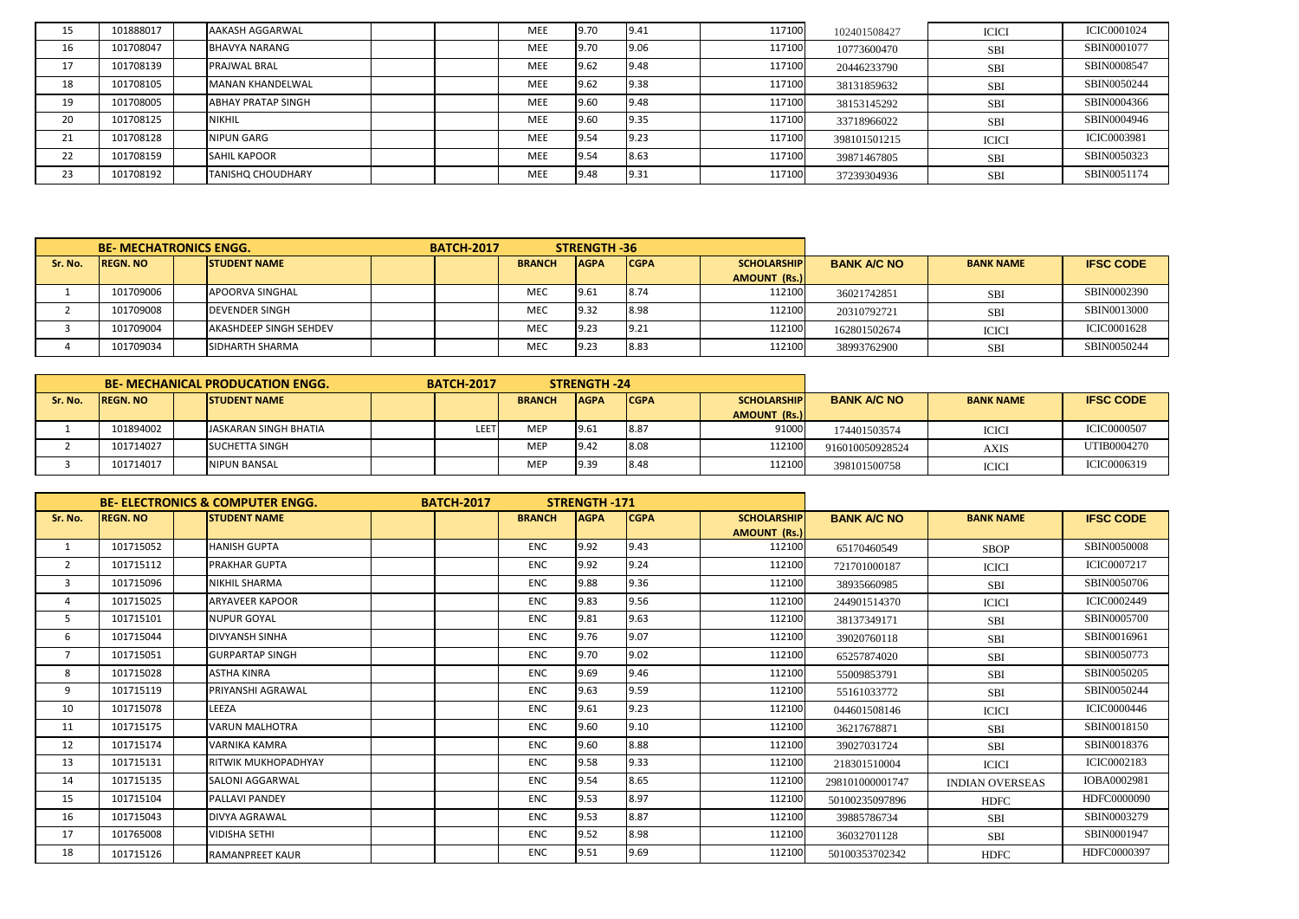| 15 | 101888017 | AAKASH AGGARWAL           |  | MEE        | 9.70 | 9.41 | 117100 | 102401508427 | <b>ICICI</b> | <b>ICIC0001024</b> |
|----|-----------|---------------------------|--|------------|------|------|--------|--------------|--------------|--------------------|
| 16 | 101708047 | <b>BHAVYA NARANG</b>      |  | MEE        | 9.70 | 9.06 | 117100 | 10773600470  | <b>SBI</b>   | SBIN0001077        |
| 17 | 101708139 | <b>PRAJWAL BRAL</b>       |  | <b>MEE</b> | 9.62 | 9.48 | 117100 | 20446233790  | <b>SBI</b>   | SBIN0008547        |
| 18 | 101708105 | <b>MANAN KHANDELWAL</b>   |  | <b>MEE</b> | 9.62 | 9.38 | 117100 | 38131859632  | <b>SBI</b>   | SBIN0050244        |
| 19 | 101708005 | <b>ABHAY PRATAP SINGH</b> |  | MEE        | 9.60 | 9.48 | 117100 | 38153145292  | <b>SBI</b>   | SBIN0004366        |
| 20 | 101708125 | <b>NIKHIL</b>             |  | MEE        | 9.60 | 9.35 | 117100 | 33718966022  | <b>SBI</b>   | SBIN0004946        |
| 21 | 101708128 | NIPUN GARG                |  | MEE        | 9.54 | 9.23 | 117100 | 398101501215 | <b>ICICI</b> | <b>ICIC0003981</b> |
| 22 | 101708159 | <b>SAHIL KAPOOR</b>       |  | MEE        | 9.54 | 8.63 | 117100 | 39871467805  | <b>SBI</b>   | SBIN0050323        |
| 23 | 101708192 | <b>TANISHO CHOUDHARY</b>  |  | <b>MEE</b> | 9.48 | 9.31 | 117100 | 37239304936  | <b>SBI</b>   | SBIN0051174        |

|         | <b>BE- MECHATRONICS ENGG.</b>          |  |                               |  |  | <b>BATCH-2017</b> | <b>STRENGTH -36</b> |             |                    |                    |                  |                    |
|---------|----------------------------------------|--|-------------------------------|--|--|-------------------|---------------------|-------------|--------------------|--------------------|------------------|--------------------|
| Sr. No. | <b>REGN. NO</b><br><b>STUDENT NAME</b> |  |                               |  |  | <b>BRANCH</b>     | <b>AGPA</b>         | <b>CGPA</b> | <b>SCHOLARSHIP</b> | <b>BANK A/C NO</b> | <b>BANK NAME</b> | <b>IFSC CODE</b>   |
|         |                                        |  |                               |  |  |                   |                     |             | AMOUNT (Rs.)       |                    |                  |                    |
|         | 101709006                              |  | <b>APOORVA SINGHAL</b>        |  |  | <b>MEC</b>        | 9.61                | 8.74        | 112100             | 36021742851        | <b>SBI</b>       | SBIN0002390        |
|         | 101709008                              |  | <b>DEVENDER SINGH</b>         |  |  | MEC               | 19.32               | 8.98        | 112100             | 20310792721        | <b>SBI</b>       | SBIN0013000        |
|         | 101709004                              |  | <b>AKASHDEEP SINGH SEHDEV</b> |  |  | MEC               | 19.23               | 9.21        | 112100             | 162801502674       | <b>ICICI</b>     | <b>ICIC0001628</b> |
|         | 101709034                              |  | <b>SIDHARTH SHARMA</b>        |  |  | MEC               | 9.23                | 8.83        | 112100             | 38993762900        | <b>SBI</b>       | SBIN0050244        |

|         |                                        |  | BE- MECHANICAL PRODUCATION ENGG. | <b>STRENGTH -24</b><br><b>BATCH-2017</b> |               |             |             |                     |                    |                  |                    |
|---------|----------------------------------------|--|----------------------------------|------------------------------------------|---------------|-------------|-------------|---------------------|--------------------|------------------|--------------------|
| Sr. No. | <b>REGN. NO</b><br><b>STUDENT NAME</b> |  |                                  |                                          | <b>BRANCH</b> | <b>AGPA</b> | <b>CGPA</b> | <b>SCHOLARSHIP</b>  | <b>BANK A/C NO</b> | <b>BANK NAME</b> | <b>IFSC CODE</b>   |
|         |                                        |  |                                  |                                          |               |             |             | <b>AMOUNT (Rs.)</b> |                    |                  |                    |
|         | 101894002                              |  | <b>JASKARAN SINGH BHATIA</b>     | LEET                                     | MEF           | 9.61        | 8.87        | 91000               | 174401503574       | <b>ICICI</b>     | <b>ICIC0000507</b> |
|         | 101714027                              |  | SUCHETTA SINGH                   |                                          | MEP           | 19.42       | 8.08        | 112100              | 916010050928524    | AXIS             | UTIB0004270        |
|         | 101714017                              |  | NIPUN BANSAL                     |                                          | MEF           | 9.39        | 8.48        | 112100              | 398101500758       | <b>ICICI</b>     | ICIC0006319        |

|                | <b>BE- ELECTRONICS &amp; COMPUTER ENGG.</b> |  |                            | <b>BATCH-2017</b> |               | <b>STRENGTH-171</b> |             |                                           |                    |                        |                    |
|----------------|---------------------------------------------|--|----------------------------|-------------------|---------------|---------------------|-------------|-------------------------------------------|--------------------|------------------------|--------------------|
| Sr. No.        | <b>REGN. NO</b>                             |  | <b>ISTUDENT NAME</b>       |                   | <b>BRANCH</b> | <b>AGPA</b>         | <b>CGPA</b> | <b>SCHOLARSHIP</b><br><b>AMOUNT (Rs.)</b> | <b>BANK A/C NO</b> | <b>BANK NAME</b>       | <b>IFSC CODE</b>   |
| 1              | 101715052                                   |  | <b>HANISH GUPTA</b>        |                   | <b>ENC</b>    | 9.92                | 9.43        | 112100                                    | 65170460549        | <b>SBOP</b>            | <b>SBIN0050008</b> |
| $\overline{2}$ | 101715112                                   |  | <b>PRAKHAR GUPTA</b>       |                   | <b>ENC</b>    | 9.92                | 9.24        | 112100                                    | 721701000187       | <b>ICICI</b>           | <b>ICIC0007217</b> |
| 3              | 101715096                                   |  | <b>NIKHIL SHARMA</b>       |                   | <b>ENC</b>    | 9.88                | 9.36        | 112100                                    | 38935660985        | <b>SBI</b>             | SBIN0050706        |
| 4              | 101715025                                   |  | <b>ARYAVEER KAPOOR</b>     |                   | <b>ENC</b>    | 9.83                | 9.56        | 112100                                    | 244901514370       | <b>ICICI</b>           | <b>ICIC0002449</b> |
| 5              | 101715101                                   |  | <b>NUPUR GOYAL</b>         |                   | <b>ENC</b>    | 9.81                | 9.63        | 112100                                    | 38137349171        | <b>SBI</b>             | SBIN0005700        |
| 6              | 101715044                                   |  | <b>DIVYANSH SINHA</b>      |                   | <b>ENC</b>    | 9.76                | 9.07        | 112100                                    | 39020760118        | <b>SBI</b>             | SBIN0016961        |
| $\overline{7}$ | 101715051                                   |  | <b>GURPARTAP SINGH</b>     |                   | <b>ENC</b>    | 9.70                | 9.02        | 112100                                    | 65257874020        | <b>SBI</b>             | SBIN0050773        |
| 8              | 101715028                                   |  | <b>ASTHA KINRA</b>         |                   | <b>ENC</b>    | 9.69                | 9.46        | 112100                                    | 55009853791        | <b>SBI</b>             | SBIN0050205        |
| 9              | 101715119                                   |  | <b>PRIYANSHI AGRAWAL</b>   |                   | <b>ENC</b>    | 9.63                | 9.59        | 112100                                    | 55161033772        | <b>SBI</b>             | SBIN0050244        |
| 10             | 101715078                                   |  | LEEZA                      |                   | ENC.          | 9.61                | 9.23        | 112100                                    | 044601508146       | <b>ICICI</b>           | <b>ICIC0000446</b> |
| 11             | 101715175                                   |  | <b>VARUN MALHOTRA</b>      |                   | <b>ENC</b>    | 9.60                | 9.10        | 112100                                    | 36217678871        | <b>SBI</b>             | SBIN0018150        |
| 12             | 101715174                                   |  | <b>VARNIKA KAMRA</b>       |                   | <b>ENC</b>    | 9.60                | 8.88        | 112100                                    | 39027031724        | <b>SBI</b>             | SBIN0018376        |
| 13             | 101715131                                   |  | <b>RITWIK MUKHOPADHYAY</b> |                   | <b>ENC</b>    | 9.58                | 9.33        | 112100                                    | 218301510004       | <b>ICICI</b>           | <b>ICIC0002183</b> |
| 14             | 101715135                                   |  | <b>SALONI AGGARWAL</b>     |                   | <b>ENC</b>    | 9.54                | 8.65        | 112100                                    | 298101000001747    | <b>INDIAN OVERSEAS</b> | IOBA0002981        |
| 15             | 101715104                                   |  | <b>PALLAVI PANDEY</b>      |                   | <b>ENC</b>    | 9.53                | 8.97        | 112100                                    | 50100235097896     | <b>HDFC</b>            | HDFC0000090        |
| 16             | 101715043                                   |  | <b>DIVYA AGRAWAL</b>       |                   | <b>ENC</b>    | 9.53                | 8.87        | 112100                                    | 39885786734        | <b>SBI</b>             | SBIN0003279        |
| 17             | 101765008                                   |  | <b>VIDISHA SETHI</b>       |                   | <b>ENC</b>    | 9.52                | 8.98        | 112100                                    | 36032701128        | <b>SBI</b>             | SBIN0001947        |
| 18             | 101715126                                   |  | <b>RAMANPREET KAUR</b>     |                   | <b>ENC</b>    | 9.51                | 9.69        | 112100                                    | 50100353702342     | <b>HDFC</b>            | HDFC0000397        |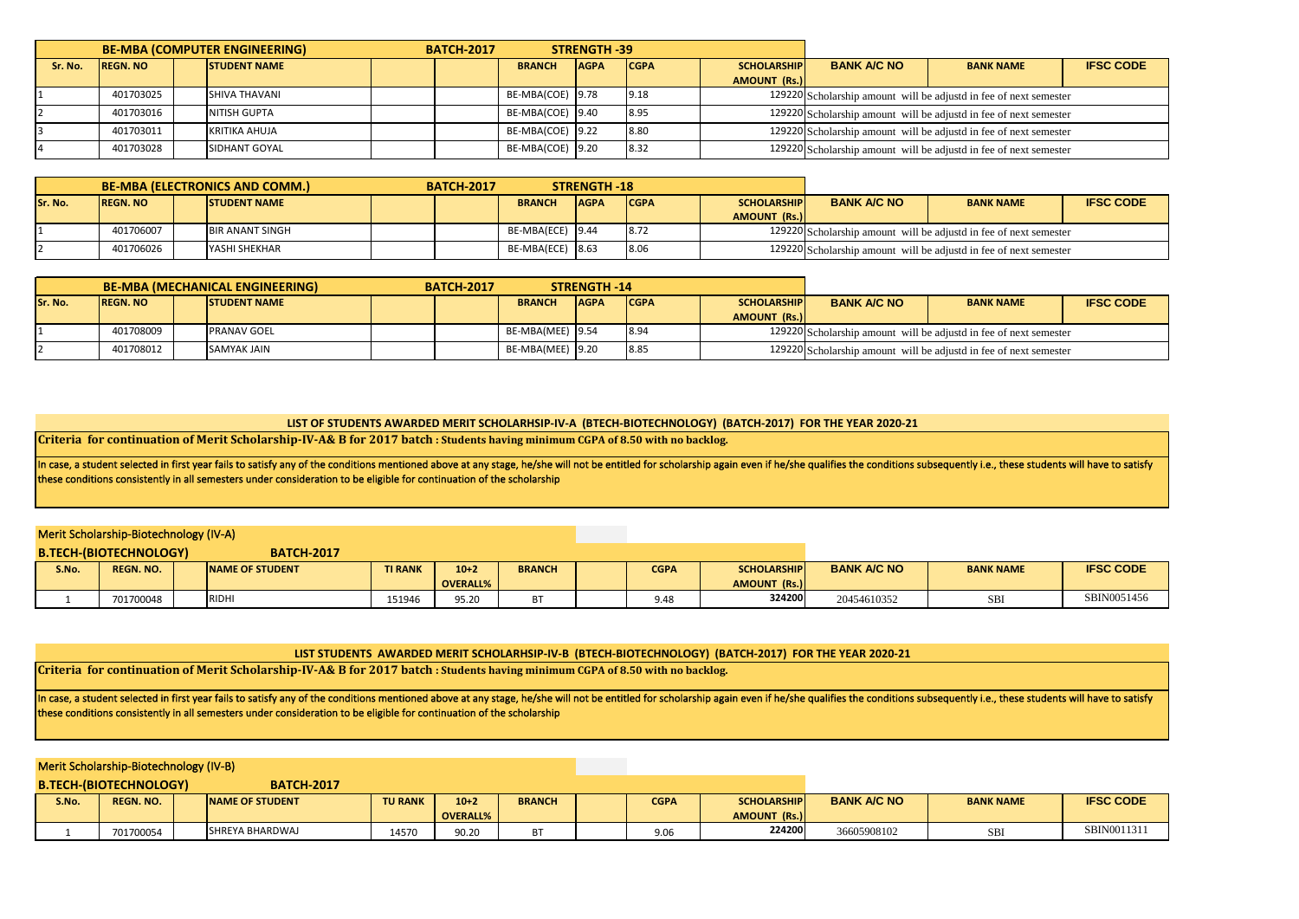|         | <b>BE-MBA (COMPUTER ENGINEERING)</b>   |  |                      |  |                              | STRENGTH -39<br><b>BATCH-2017</b> |             |                    |                     |                  |                                                                   |  |
|---------|----------------------------------------|--|----------------------|--|------------------------------|-----------------------------------|-------------|--------------------|---------------------|------------------|-------------------------------------------------------------------|--|
| Sr. No. | <b>REGN. NO</b><br><b>STUDENT NAME</b> |  |                      |  | <b>AGPA</b><br><b>BRANCH</b> |                                   | <b>CGPA</b> | <b>SCHOLARSHIP</b> | <b>BANK A/C NO</b>  | <b>BANK NAME</b> | <b>IFSC CODE</b>                                                  |  |
|         |                                        |  |                      |  |                              |                                   |             |                    | <b>AMOUNT (Rs.)</b> |                  |                                                                   |  |
|         | 401703025                              |  | <b>SHIVA THAVANI</b> |  |                              | BE-MBA(COE) 9.78                  |             | 9.18               |                     |                  | 129220 Scholarship amount will be adjustd in fee of next semester |  |
|         | 401703016                              |  | <b>NITISH GUPTA</b>  |  |                              | BE-MBA(COE) 9.40                  |             | 8.95               |                     |                  | 129220 Scholarship amount will be adjustd in fee of next semester |  |
|         | 401703011                              |  | KRITIKA AHUJA        |  |                              | BE-MBA(COE) 9.22                  |             | 8.80               |                     |                  | 129220 Scholarship amount will be adjustd in fee of next semester |  |
|         | 401703028                              |  | SIDHANT GOYAL        |  |                              | BE-MBA(COE) 9.20                  |             | 8.32               |                     |                  | 129220 Scholarship amount will be adjustd in fee of next semester |  |

|         | <b>BE-MBA (ELECTRONICS AND COMM.)</b>  |  |                        |  |  | <b>BATCH-2017</b> | <b>STRENGTH -18</b> |             |                     |                                                                   |                  |                  |
|---------|----------------------------------------|--|------------------------|--|--|-------------------|---------------------|-------------|---------------------|-------------------------------------------------------------------|------------------|------------------|
| Sr. No. | <b>REGN. NO</b><br><b>STUDENT NAME</b> |  |                        |  |  | <b>BRANCH</b>     | <b>AGPA</b>         | <b>CGPA</b> | <b>SCHOLARSHIP</b>  | <b>BANK A/C NO</b>                                                | <b>BANK NAME</b> | <b>IFSC CODE</b> |
|         |                                        |  |                        |  |  |                   |                     |             | <b>AMOUNT (Rs.)</b> |                                                                   |                  |                  |
|         | 401706007                              |  | <b>BIR ANANT SINGH</b> |  |  | BE-MBA(ECE) 9.44  |                     | 8.72        |                     | 129220 Scholarship amount will be adjustd in fee of next semester |                  |                  |
|         | 401706026                              |  | <b>YASHI SHEKHAR</b>   |  |  | BE-MBA(ECE) 8.63  |                     | 8.06        |                     | 129220 Scholarship amount will be adjustd in fee of next semester |                  |                  |

|         | <b>BE-MBA (MECHANICAL ENGINEERING)</b>  |  |                    |  |  |                  | <b>STRENGTH -14</b> |              |                     |                                                                   |                  |                  |
|---------|-----------------------------------------|--|--------------------|--|--|------------------|---------------------|--------------|---------------------|-------------------------------------------------------------------|------------------|------------------|
| Sr. No. | <b>ISTUDENT NAME</b><br><b>REGN. NO</b> |  |                    |  |  | <b>BRANCH</b>    | <b>AGPA</b>         | <b>ICGPA</b> | <b>SCHOLARSHIP</b>  | <b>BANK A/C NO</b>                                                | <b>BANK NAME</b> | <b>IFSC CODE</b> |
|         |                                         |  |                    |  |  |                  |                     |              | <b>AMOUNT (Rs.)</b> |                                                                   |                  |                  |
|         | 401708009                               |  | <b>PRANAV GOEL</b> |  |  | BE-MBA(MEE) 9.54 |                     | 8.94         |                     | 129220 Scholarship amount will be adjustd in fee of next semester |                  |                  |
|         | 401708012                               |  | <b>SAMYAK JAIN</b> |  |  | BE-MBA(MEE) 9.20 |                     | 8.85         |                     | 129220 Scholarship amount will be adjustd in fee of next semester |                  |                  |

#### **LIST OF STUDENTS AWARDED MERIT SCHOLARHSIP-IV-A (BTECH-BIOTECHNOLOGY) (BATCH-2017) FOR THE YEAR 2020-21**

**Criteria for continuation of Merit Scholarship-IV-A& B for 2017 batch : Students having minimum CGPA of 8.50 with no backlog.**

In case, a student selected in first year fails to satisfy any of the conditions mentioned above at any stage, he/she will not be entitled for scholarship again even if he/she qualifies the conditions subsequently i.e., th these conditions consistently in all semesters under consideration to be eligible for continuation of the scholarship

### Merit Scholarship-Biotechnology (IV-A)

**B.TECH-(BIOTECHNOLOGY) BATCH-2017 S.No. REGN. NO. NAME OF STUDENT TIRANK 10+2 OVERALL% BRANCH | CGPA | SCHOLARSHIP AMOUNT (Rs.) BANK A/C NO | BANK NAME | IFSC CODE** 1 701700048 RIDHI 151946 95.20 BT 9.48 **324200** 20454610352 SBI SBIN0051456

#### **LIST STUDENTS AWARDED MERIT SCHOLARHSIP-IV-B (BTECH-BIOTECHNOLOGY) (BATCH-2017) FOR THE YEAR 2020-21**

**Criteria for continuation of Merit Scholarship-IV-A& B for 2017 batch : Students having minimum CGPA of 8.50 with no backlog.**

In case, a student selected in first year fails to satisfy any of the conditions mentioned above at any stage, he/she will not be entitled for scholarship again even if he/she qualifies the conditions subsequently i.e., th these conditions consistently in all semesters under consideration to be eligible for continuation of the scholarship

#### Merit Scholarship-Biotechnology (IV-B)

|       | <b>B.TECH-(BIOTECHNOLOGY)</b> | <b>BATCH-2017</b>       |                |          |               |             |                     |                    |                  |                  |
|-------|-------------------------------|-------------------------|----------------|----------|---------------|-------------|---------------------|--------------------|------------------|------------------|
| S.No. | <b>REGN. NO.</b>              | <b>INAME OF STUDENT</b> | <b>TU RANK</b> | $10+2$   | <b>BRANCH</b> | <b>CGPA</b> | <b>SCHOLARSHIP</b>  | <b>BANK A/C NO</b> | <b>BANK NAME</b> | <b>IFSC CODE</b> |
|       |                               |                         |                | OVERALL% |               |             | <b>AMOUNT (Rs.)</b> |                    |                  |                  |
|       | 701700054                     | SHREYA BHARDWAJ         | 14570          | 90.20    |               | 9.06        | 224200              | 36605908102        | SBI              | SBIN0011311      |